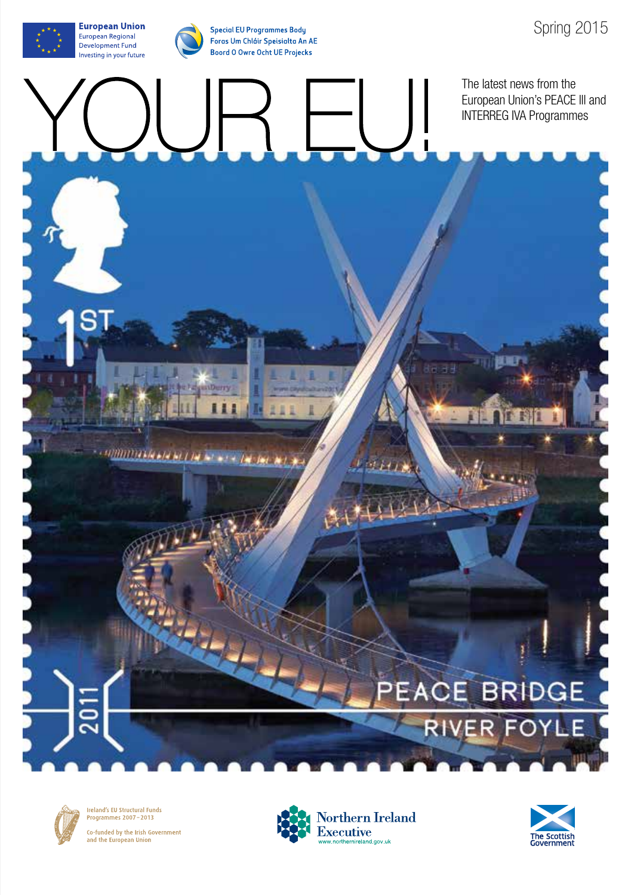**Special EU Programmes Body** Foras Um Chláir Speisialta An AE Boord O Owre Ocht UE Projecks

COMMITTEE AND ALL IN A CALL AND ALL ALL AND A

The latest news from the European Union's PEACE lll and INTERREG IVA Programmes

羅爾

### PEACE BRIDGE

RIVER FOYLE



Ireland's EU Structural Funds<br>Programmes 2007-2013 Co-funded by the Irish Government and the European Union



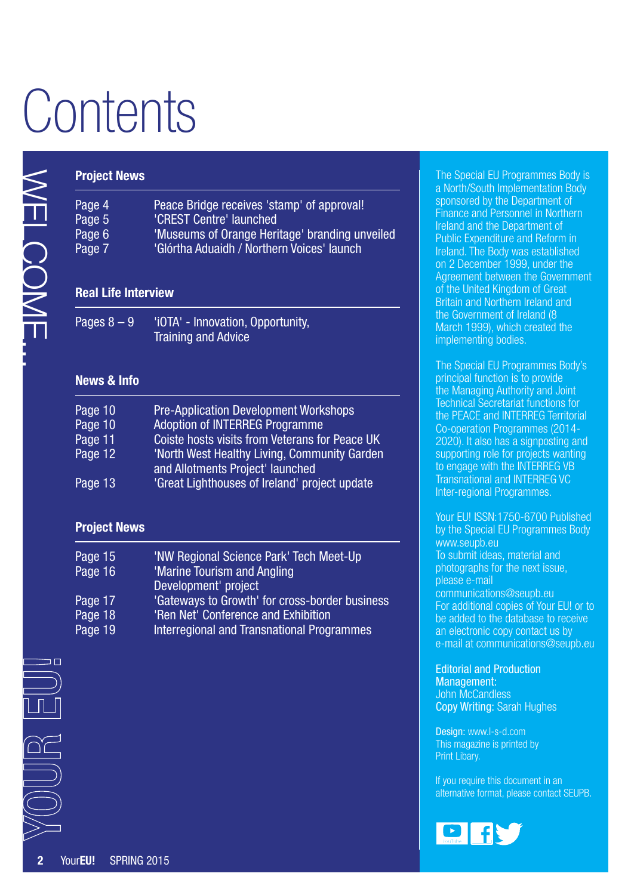# **Contents**

|                | <b>Project News</b>                                 |                                                                                                                                                                                                                                                                              |
|----------------|-----------------------------------------------------|------------------------------------------------------------------------------------------------------------------------------------------------------------------------------------------------------------------------------------------------------------------------------|
| <b>HNOCONE</b> | Page 4<br>Page 5<br>Page 6<br>Page 7                | Peace Bridge receives 'stamp' of approval!<br>'CREST Centre' launched<br>'Museums of Orange Heritage' branding unveiled<br>'Glórtha Aduaidh / Northern Voices' launch                                                                                                        |
|                | <b>Real Life Interview</b>                          |                                                                                                                                                                                                                                                                              |
|                | Pages $8 - 9$                                       | 'iOTA' - Innovation, Opportunity,<br><b>Training and Advice</b>                                                                                                                                                                                                              |
|                | <b>News &amp; Info</b>                              |                                                                                                                                                                                                                                                                              |
|                | Page 10<br>Page 10<br>Page 11<br>Page 12<br>Page 13 | <b>Pre-Application Development Workshops</b><br><b>Adoption of INTERREG Programme</b><br>Coiste hosts visits from Veterans for Peace UK<br>'North West Healthy Living, Community Garden<br>and Allotments Project' launched<br>'Great Lighthouses of Ireland' project update |
|                | <b>Project News</b>                                 |                                                                                                                                                                                                                                                                              |
|                | Page 15<br>Page 16<br>Page 17<br>Page 18<br>Page 19 | 'NW Regional Science Park' Tech Meet-Up<br>'Marine Tourism and Angling<br>Development' project<br>'Gateways to Growth' for cross-border business<br>'Ren Net' Conference and Exhibition<br><b>Interregional and Transnational Programmes</b>                                 |
| ם כ            |                                                     |                                                                                                                                                                                                                                                                              |
|                |                                                     |                                                                                                                                                                                                                                                                              |
|                | YourEU!<br><b>SPRING 2015</b>                       |                                                                                                                                                                                                                                                                              |

### **Project News**

| Page 15 | 'NW Regional Science Park' Tech Meet-Up        |
|---------|------------------------------------------------|
| Page 16 | 'Marine Tourism and Angling                    |
|         | Development' project                           |
| Page 17 | 'Gateways to Growth' for cross-border business |
| Page 18 | 'Ren Net' Conference and Exhibition            |
| Page 19 | Interregional and Transnational Programmes     |
|         |                                                |

The Special EU Programmes Body is a North/South Implementation Body sponsored by the Department of Finance and Personnel in Northern Ireland and the Department of Public Expenditure and Reform in Ireland. The Body was established on 2 December 1999, under the Agreement between the Government of the United Kingdom of Great Britain and Northern Ireland and the Government of Ireland (8 March 1999), which created the implementing bodies.

The Special EU Programmes Body's principal function is to provide the Managing Authority and Joint Technical Secretariat functions for the PEACE and INTERREG Territorial Co-operation Programmes (2014- 2020). It also has a signposting and supporting role for projects wanting to engage with the INTERREG VB Transnational and INTERREG VC Inter-regional Programmes.

Your EU! ISSN:1750-6700 Published by the Special EU Programmes Body [www.seupb.eu](http://www.seupb.eu) To submit ideas, material and photographs for the next issue, please e-mail [communications@seupb.eu](mailto:communications%40seupb.eu?subject=communications%40seupb.eu)  For additional copies of Your EU! or to be added to the database to receive an electronic copy contact us by e-mail at [communications@seupb.eu](mailto:communications%40seupb.eu?subject=communications%40seupb.eu)

Editorial and Production

Management: John McCandless Copy Writing: Sarah Hughes

Design: [www.l-s-d.com](http://www.l-s-d.com) This magazine is printed by Print Libary.

If you require this document in an alternative format, please contact SEUPB.

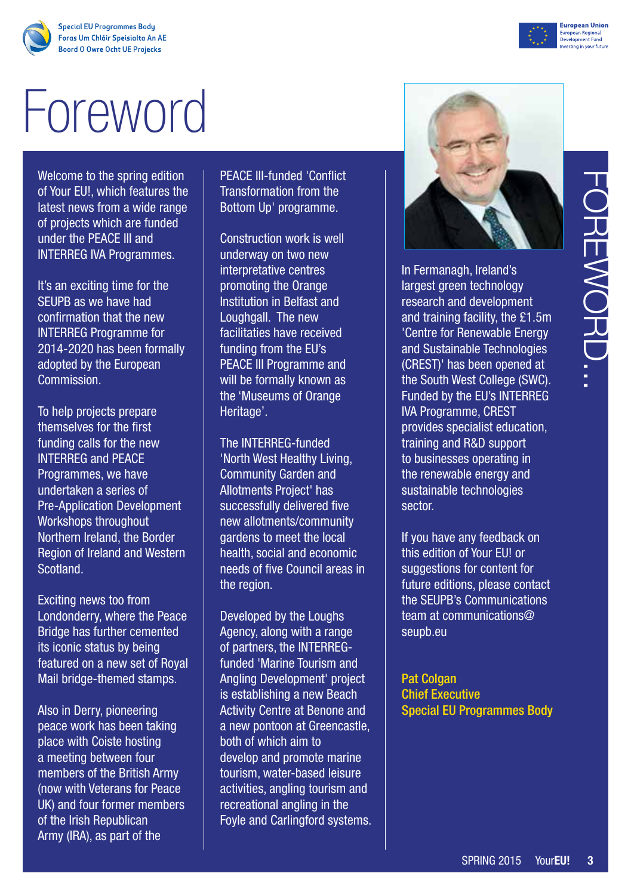**Special EU Programmes Body** Foras Um Chláir Speisialta An AE **Boord O Owre Ocht UE Projecks** 

# Foreword

Welcome to the spring edition of Your EU!, which features the latest news from a wide range of projects which are funded under the PEACE III and INTERREG IVA Programmes.

It's an exciting time for the SEUPB as we have had confirmation that the new INTERREG Programme for 2014-2020 has been formally adopted by the European Commission.

To help projects prepare themselves for the first funding calls for the new INTERREG and PEACE Programmes, we have undertaken a series of Pre-Application Development Workshops throughout Northern Ireland, the Border Region of Ireland and Western Scotland.

Exciting news too from Londonderry, where the Peace Bridge has further cemented its iconic status by being featured on a new set of Royal Mail bridge-themed stamps.

Also in Derry, pioneering peace work has been taking place with Coiste hosting a meeting between four members of the British Army (now with Veterans for Peace UK) and four former members of the Irish Republican Army (IRA), as part of the

PEACE III-funded 'Conflict Transformation from the Bottom Up' programme.

Construction work is well underway on two new interpretative centres promoting the Orange Institution in Belfast and Loughgall. The new facilitaties have received funding from the EU's PEACE III Programme and will be formally known as the 'Museums of Orange Heritage'.

The INTERREG-funded 'North West Healthy Living, Community Garden and Allotments Project' has successfully delivered five new allotments/community gardens to meet the local health, social and economic needs of five Council areas in the region.

Developed by the Loughs Agency, along with a range of partners, the INTERREGfunded 'Marine Tourism and Angling Development' project is establishing a new Beach Activity Centre at Benone and a new pontoon at Greencastle, both of which aim to develop and promote marine tourism, water-based leisure activities, angling tourism and recreational angling in the Foyle and Carlingford systems.

The International Space of the E1.5m<br>
In technology<br>
d development<br>
facility, the £1.5m<br>
Renewable Energy<br>
sheen opened at<br>
sheen opened at<br>
the EU's INTERREG<br>
me, CREST<br>
recialist education,<br>
R&D support<br>
is operating in<br> In Fermanagh, Ireland's largest green technology research and development and training facility, the £1.5m 'Centre for Renewable Energy and Sustainable Technologies (CREST)' has been opened at the South West College (SWC). Funded by the EU's INTERREG IVA Programme, CREST provides specialist education, training and R&D support to businesses operating in the renewable energy and sustainable technologies sector.

If you have any feedback on this edition of Your EU! or suggestions for content for future editions, please contact the SEUPB's Communications team at [communications@](mailto:communications%40seupb.eu?subject=communications%40seupb.eu) [seupb.eu](mailto:communications%40seupb.eu?subject=communications%40seupb.eu)

**Pat Colgan** Chief Executive Special EU Programmes Body



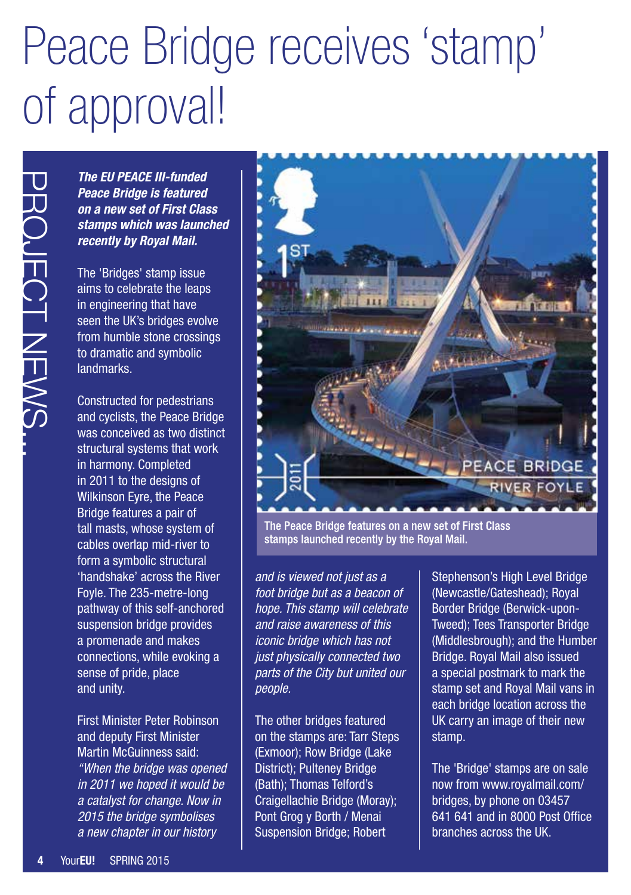## Peace Bridge receives 'stamp' of approval!

*The EU PEACE III-funded Peace Bridge is featured on a new set of First Class stamps which was launched recently by Royal Mail.*

The 'Bridges' stamp issue aims to celebrate the leaps in engineering that have seen the UK's bridges evolve from humble stone crossings to dramatic and symbolic landmarks.

The EU PEACE III-<br>
Peace Bridge is form a new set of F<br>
stamps which was<br>
recently by Royal<br>
The 'Bridges' stam<br>
aims to celebrate the UK's bridg<br>
from humble stone<br>
to dramatic and sy<br>
landmarks.<br>
Constructed for pe<br>
and Constructed for pedestrians and cyclists, the Peace Bridge was conceived as two distinct structural systems that work in harmony. Completed in 2011 to the designs of Wilkinson Eyre, the Peace Bridge features a pair of tall masts, whose system of cables overlap mid-river to form a symbolic structural 'handshake' across the River Foyle. The 235-metre-long pathway of this self-anchored suspension bridge provides a promenade and makes connections, while evoking a sense of pride, place and unity.

First Minister Peter Robinson and deputy First Minister Martin McGuinness said: *"When the bridge was opened in 2011 we hoped it would be a catalyst for change. Now in 2015 the bridge symbolises a new chapter in our history* 



The Peace Bridge features on a new set of First Class stamps launched recently by the Royal Mail.

*and is viewed not just as a foot bridge but as a beacon of hope. This stamp will celebrate and raise awareness of this iconic bridge which has not just physically connected two parts of the City but united our people.*

The other bridges featured on the stamps are: Tarr Steps (Exmoor); Row Bridge (Lake District); Pulteney Bridge (Bath); Thomas Telford's Craigellachie Bridge (Moray); Pont Grog y Borth / Menai Suspension Bridge; Robert

Stephenson's High Level Bridge (Newcastle/Gateshead); Royal Border Bridge (Berwick-upon-Tweed); Tees Transporter Bridge (Middlesbrough); and the Humber Bridge. Royal Mail also issued a special postmark to mark the stamp set and Royal Mail vans in each bridge location across the UK carry an image of their new stamp.

The 'Bridge' stamps are on sale now from [www.royalmail.com/](http://www.royalmail.com/) bridges, by phone on 03457 641 641 and in 8000 Post Office branches across the UK.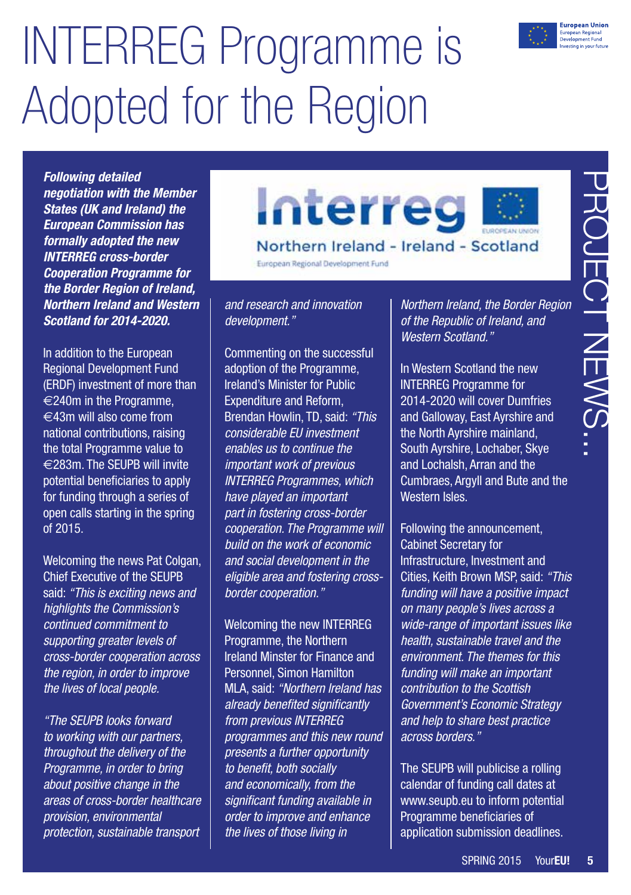## INTERREG Programme is Adopted for the Region



*Following detailed negotiation with the Member States (UK and Ireland) the European Commission has formally adopted the new INTERREG cross-border Cooperation Programme for the Border Region of Ireland, Northern Ireland and Western Scotland for 2014-2020.*

In addition to the European Regional Development Fund (ERDF) investment of more than €240m in the Programme,  $€43m$  will also come from national contributions, raising the total Programme value to €283m. The SEUPB will invite potential beneficiaries to apply for funding through a series of open calls starting in the spring of 2015.

Welcoming the news Pat Colgan, Chief Executive of the SEUPB said: *"This is exciting news and highlights the Commission's continued commitment to supporting greater levels of cross-border cooperation across the region, in order to improve the lives of local people.* 

*"The SEUPB looks forward to working with our partners, throughout the delivery of the Programme, in order to bring about positive change in the areas of cross-border healthcare provision, environmental protection, sustainable transport* 





European Regional Development Fund

*and research and innovation development."* 

Commenting on the successful adoption of the Programme, Ireland's Minister for Public Expenditure and Reform, Brendan Howlin, TD, said: *"This considerable EU investment enables us to continue the important work of previous INTERREG Programmes, which have played an important part in fostering cross-border cooperation. The Programme will build on the work of economic and social development in the eligible area and fostering crossborder cooperation."* 

Welcoming the new INTERREG Programme, the Northern Ireland Minster for Finance and Personnel, Simon Hamilton MLA, said: *"Northern Ireland has already benefited significantly from previous INTERREG programmes and this new round presents a further opportunity to benefit, both socially and economically, from the significant funding available in order to improve and enhance the lives of those living in* 

*Northern Ireland, the Border Region of the Republic of Ireland, and Western Scotland."* 

In Western Scotland the new INTERREG Programme for 2014-2020 will cover Dumfries and Galloway, East Ayrshire and the North Ayrshire mainland, South Ayrshire, Lochaber, Skye and Lochalsh, Arran and the Cumbraes, Argyll and Bute and the Western Isles.

**Example 1**<br> **Example 2015**<br> **Example 2015**<br> **Example 2016**<br> **Example 2016**<br> **Example 2016**<br> **Coldand** the new<br> **Coldand** the new<br> **SPRING 2015**<br> **COLADGE 2016**<br> **COLADGE 2016**<br> **COLADGE 2016**<br> **COLADGE 2016**<br> **COLADGE 201** Following the announcement, Cabinet Secretary for Infrastructure, Investment and Cities, Keith Brown MSP, said: *"This funding will have a positive impact on many people's lives across a wide-range of important issues like health, sustainable travel and the environment. The themes for this funding will make an important contribution to the Scottish Government's Economic Strategy and help to share best practice across borders."* 

The SEUPB will publicise a rolling calendar of funding call dates at [www.seupb.eu](http://www.seupb.eu) to inform potential Programme beneficiaries of application submission deadlines.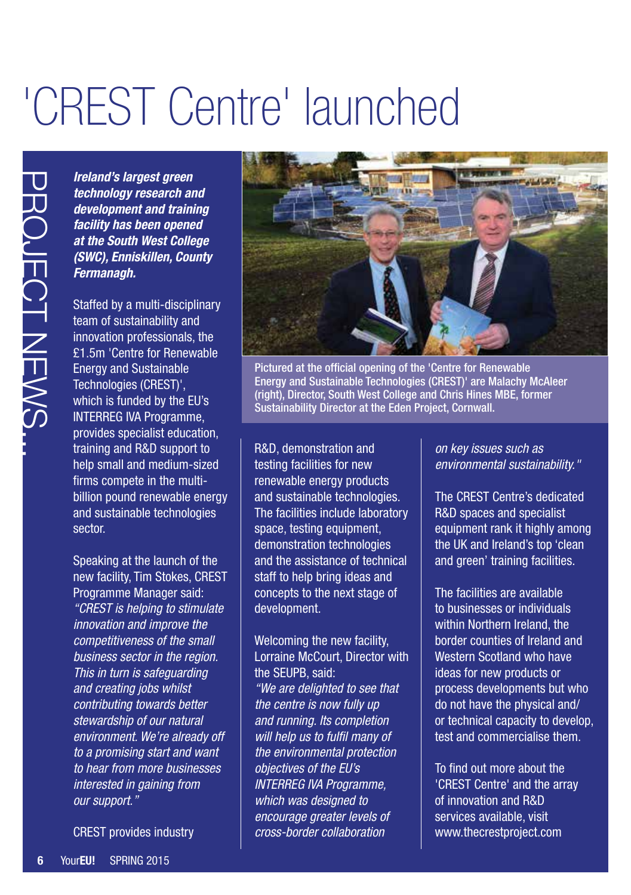## 'CREST Centre' launched

*Ireland's largest green technology research and development and training facility has been opened at the South West College (SWC), Enniskillen, County Fermanagh.*

Staffed by a multi-disciplinary team of sustainability and innovation professionals, the £1.5m 'Centre for Renewable Energy and Sustainable Technologies (CREST)', which is funded by the EU's INTERREG IVA Programme, provides specialist education, training and R&D support to help small and medium-sized firms compete in the multibillion pound renewable energy and sustainable technologies sector.

**Free Secure Accommand Substrates and the South West (SWC), Enniskillen<br>
<b>6 at the South West (SWC), Enniskillen**<br> **6 at the South West Fermanagh.**<br>
Staffed by a multi-c<br>
team of sustainabili innovation profession fechnolo Speaking at the launch of the new facility, Tim Stokes, CREST Programme Manager said: *"CREST is helping to stimulate innovation and improve the competitiveness of the small business sector in the region. This in turn is safeguarding and creating jobs whilst contributing towards better stewardship of our natural environment. We're already off to a promising start and want to hear from more businesses interested in gaining from our support."*

CREST provides industry



Pictured at the official opening of the 'Centre for Renewable Energy and Sustainable Technologies (CREST)' are Malachy McAleer (right), Director, South West College and Chris Hines MBE, former Sustainability Director at the Eden Project, Cornwall.

R&D, demonstration and testing facilities for new renewable energy products and sustainable technologies. The facilities include laboratory space, testing equipment, demonstration technologies and the assistance of technical staff to help bring ideas and concepts to the next stage of development.

Welcoming the new facility, Lorraine McCourt, Director with the SEUPB, said: *"We are delighted to see that the centre is now fully up and running. Its completion will help us to fulfil many of the environmental protection objectives of the EU's INTERREG IVA Programme, which was designed to encourage greater levels of cross-border collaboration* 

*on key issues such as environmental sustainability."*

The CREST Centre's dedicated R&D spaces and specialist equipment rank it highly among the UK and Ireland's top 'clean and green' training facilities.

The facilities are available to businesses or individuals within Northern Ireland, the border counties of Ireland and Western Scotland who have ideas for new products or process developments but who do not have the physical and/ or technical capacity to develop, test and commercialise them.

To find out more about the 'CREST Centre' and the array of innovation and R&D services available, visit [www.thecrestproject.com](http://www.thecrestproject.com)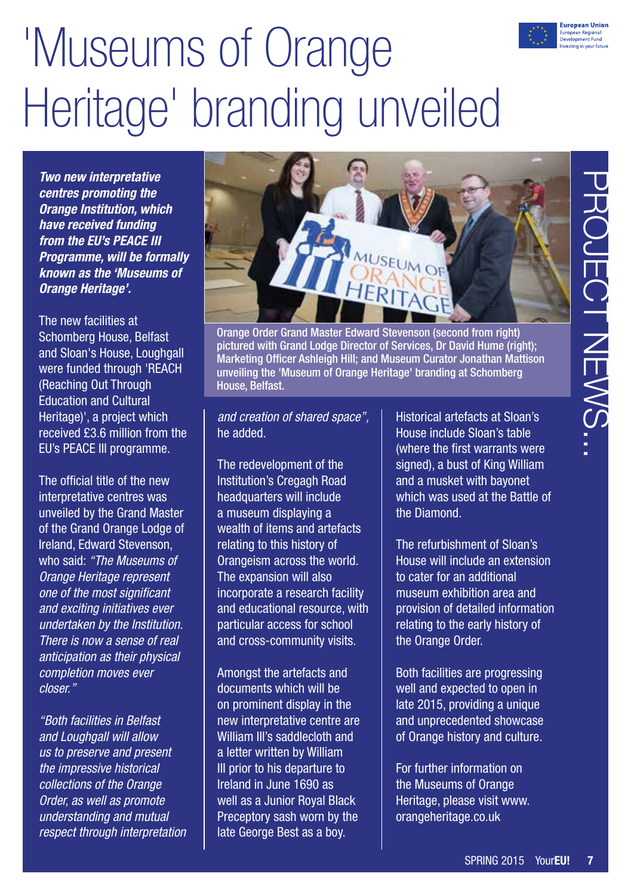# 'Museums of Orange Heritage' branding unveiled

*Two new interpretative centres promoting the Orange Institution, which have received funding from the EU's PEACE III Programme, will be formally known as the 'Museums of Orange Heritage'.*

The new facilities at Schomberg House, Belfast and Sloan's House, Loughgall were funded through 'REACH (Reaching Out Through Education and Cultural Heritage)', a project which received £3.6 million from the EU's PEACE III programme.

The official title of the new interpretative centres was unveiled by the Grand Master of the Grand Orange Lodge of Ireland, Edward Stevenson, who said: *"The Museums of Orange Heritage represent one of the most significant and exciting initiatives ever undertaken by the Institution. There is now a sense of real anticipation as their physical completion moves ever closer."*

*"Both facilities in Belfast and Loughgall will allow us to preserve and present the impressive historical collections of the Orange Order, as well as promote understanding and mutual respect through interpretation* 



Orange Order Grand Master Edward Stevenson (second from right) pictured with Grand Lodge Director of Services, Dr David Hume (right); Marketing Officer Ashleigh Hill; and Museum Curator Jonathan Mattison unveiling the 'Museum of Orange Heritage' branding at Schomberg House, Belfast.

*and creation of shared space",*  he added.

The redevelopment of the Institution's Cregagh Road headquarters will include a museum displaying a wealth of items and artefacts relating to this history of Orangeism across the world. The expansion will also incorporate a research facility and educational resource, with particular access for school and cross-community visits.

Amongst the artefacts and documents which will be on prominent display in the new interpretative centre are William III's saddlecloth and a letter written by William III prior to his departure to Ireland in June 1690 as well as a Junior Royal Black Preceptory sash worn by the late George Best as a boy.

Historical artefacts at Sloan's House include Sloan's table (where the first warrants were signed), a bust of King William and a musket with bayonet which was used at the Battle of the Diamond.

The refurbishment of Sloan's House will include an extension to cater for an additional museum exhibition area and provision of detailed information relating to the early history of the Orange Order.

Both facilities are progressing well and expected to open in late 2015, providing a unique and unprecedented showcase of Orange history and culture.

For further information on the Museums of Orange Heritage, please visit [www.](http://www.orangeheritage.co.uk) [orangeheritage.co.uk](http://www.orangeheritage.co.uk)



**Luropean Union** uropean Regional<br>evelopment Fund esting in your futur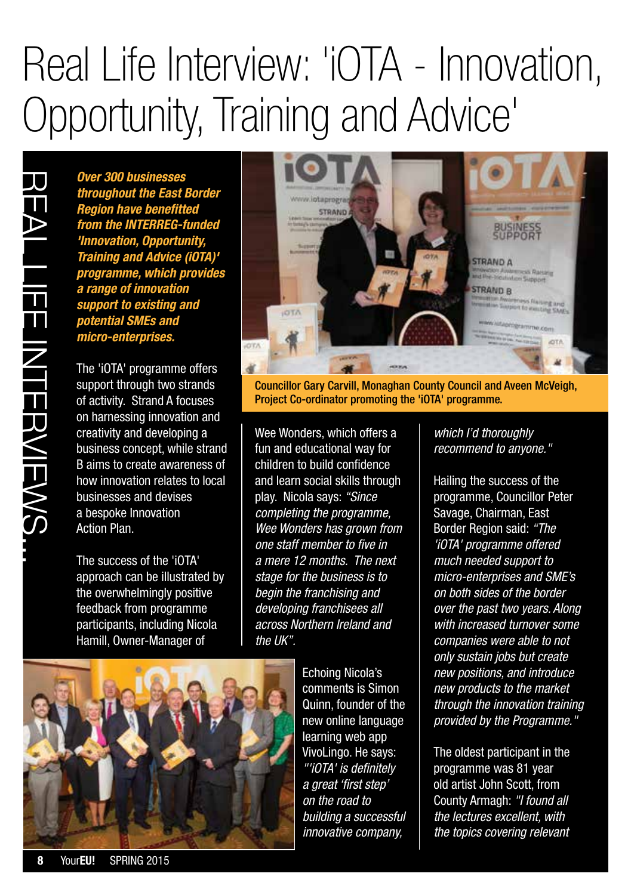### Real Life Interview: 'iOTA - Innovation, Opportunity, Training and Advice'

*Over 300 businesses throughout the East Border Region have benefitted from the INTERREG-funded 'Innovation, Opportunity, Training and Advice (iOTA)' programme, which provident a range of innovation support to existing and potential SMEs and micro-enterprises.*

The 'iOTA' programme offers support through two strands of activity. Strand A focuses on harnessing innovation and creativity and developing a business concept, while strand B aims to create awareness of how innovation relates to local businesses and devises a bespoke Innovation Action Plan.

The success of the 'iOTA' approach can be illustrated by the overwhelmingly positive feedback from programme participants, including Nicola Hamill, Owner-Manager of



Councillor Gary Carvill, Monaghan County Council and Aveen McVeigh, Project Co-ordinator promoting the 'iOTA' programme.

Wee Wonders, which offers a fun and educational way for children to build confidence and learn social skills through play. Nicola says: *"Since completing the programme, Wee Wonders has grown from one staff member to five in a mere 12 months. The next stage for the business is to begin the franchising and developing franchisees all across Northern Ireland and the UK".*

> Echoing Nicola's comments is Simon Quinn, founder of the new online language learning web app VivoLingo. He says: *"'iOTA' is definitely a great 'first step' on the road to building a successful innovative company,*

*which I'd thoroughly recommend to anyone."*

Hailing the success of the programme, Councillor Peter Savage, Chairman, East Border Region said: *"The 'iOTA' programme offered much needed support to micro-enterprises and SME's on both sides of the border over the past two years. Along with increased turnover some companies were able to not only sustain jobs but create new positions, and introduce new products to the market through the innovation training provided by the Programme."*

The oldest participant in the programme was 81 year old artist John Scott, from County Armagh: *"I found all the lectures excellent, with the topics covering relevant* 

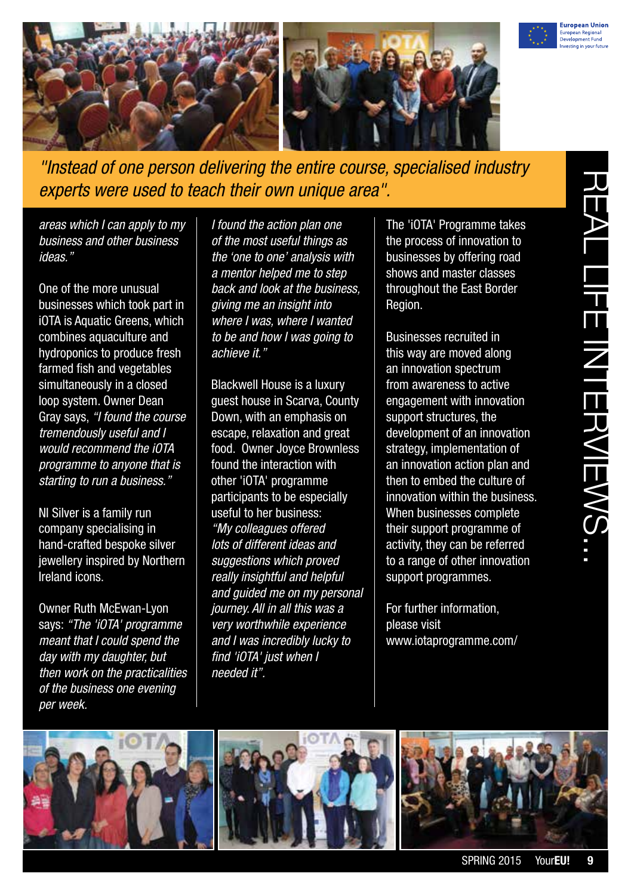



*"Instead of one person delivering the entire course, specialised industry experts were used to teach their own unique area".*

*areas which I can apply to my business and other business ideas."*

One of the more unusual businesses which took part in iOTA is Aquatic Greens, which combines aquaculture and hydroponics to produce fresh farmed fish and vegetables simultaneously in a closed loop system. Owner Dean Gray says, *"I found the course tremendously useful and I would recommend the iOTA programme to anyone that is starting to run a business."*

NI Silver is a family run company specialising in hand-crafted bespoke silver jewellery inspired by Northern Ireland icons.

Owner Ruth McEwan-Lyon says: *"The 'iOTA' programme meant that I could spend the day with my daughter, but then work on the practicalities of the business one evening per week.*

*I found the action plan one of the most useful things as the 'one to one' analysis with a mentor helped me to step back and look at the business, giving me an insight into where I was, where I wanted to be and how I was going to achieve it."*

Blackwell House is a luxury guest house in Scarva, County Down, with an emphasis on escape, relaxation and great food. Owner Joyce Brownless found the interaction with other 'iOTA' programme participants to be especially useful to her business: *"My colleagues offered lots of different ideas and suggestions which proved really insightful and helpful and guided me on my personal journey. All in all this was a very worthwhile experience and I was incredibly lucky to find 'iOTA' just when I needed it".*

The 'iOTA' Programme takes the process of innovation to businesses by offering road shows and master classes throughout the East Border Region.

Businesses recruited in this way are moved along an innovation spectrum from awareness to active engagement with innovation support structures, the development of an innovation strategy, implementation of an innovation action plan and then to embed the culture of innovation within the business. When businesses complete their support programme of activity, they can be referred to a range of other innovation support programmes.

For further information, please visit [www.iotaprogramme.com/](http://www.iotaprogramme.com/)





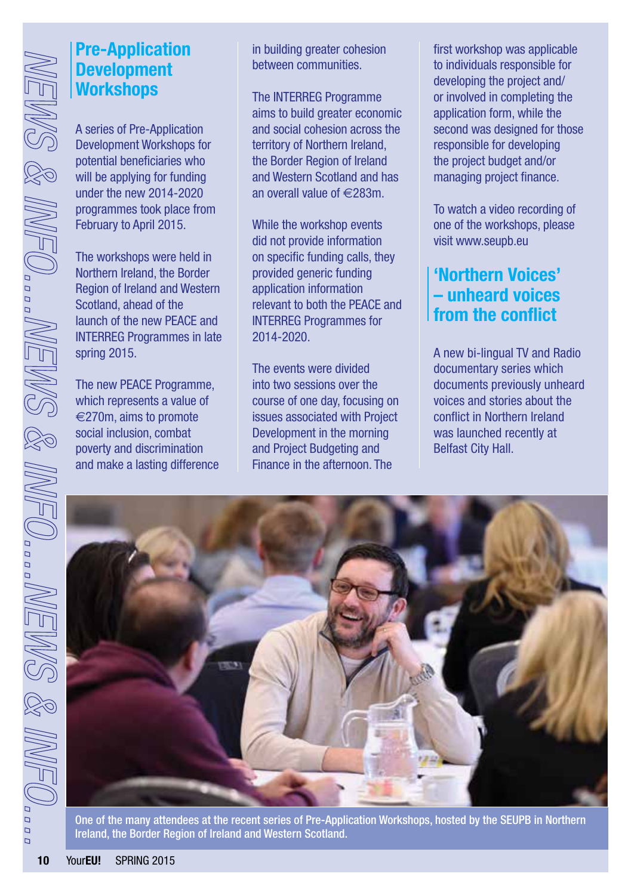### **Pre-Application Development Workshops**

A series of Pre-Application Development Workshops for potential beneficiaries who will be applying for funding under the new 2014-2020 programmes took place from February to April 2015.

The workshops were held in Northern Ireland, the Border Region of Ireland and Western Scotland, ahead of the launch of the new PEACE and INTERREG Programmes in late spring 2015.

The new PEACE Programme, which represents a value of  $\epsilon$ 270m, aims to promote social inclusion, combat poverty and discrimination and make a lasting difference in building greater cohesion between communities.

The INTERREG Programme aims to build greater economic and social cohesion across the territory of Northern Ireland, the Border Region of Ireland and Western Scotland and has an overall value of €283m.

While the workshop events did not provide information on specific funding calls, they provided generic funding application information relevant to both the PEACE and INTERREG Programmes for 2014-2020.

The events were divided into two sessions over the course of one day, focusing on issues associated with Project Development in the morning and Project Budgeting and Finance in the afternoon. The

first workshop was applicable to individuals responsible for developing the project and/ or involved in completing the application form, while the second was designed for those responsible for developing the project budget and/or managing project finance.

To watch a video recording of one of the workshops, please visit [www.seupb.eu](http://www.seupb.eu)

### **'Northern Voices' – unheard voices from the conflict**

A new bi-lingual TV and Radio documentary series which documents previously unheard voices and stories about the conflict in Northern Ireland was launched recently at Belfast City Hall.



One of the many attendees at the recent series of Pre-Application Workshops, hosted by the SEUPB in Northern Ireland, the Border Region of Ireland and Western Scotland.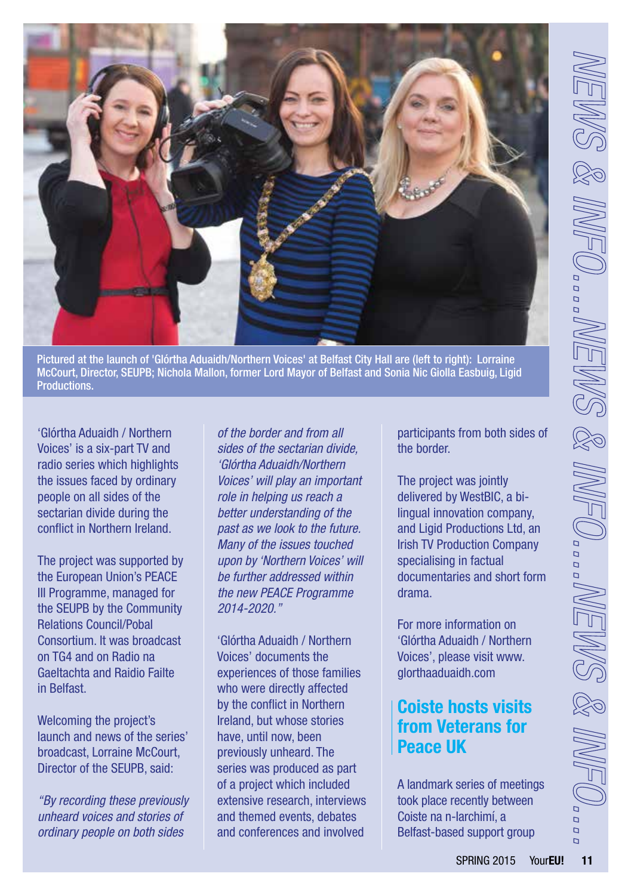

Pictured at the launch of 'Glórtha Aduaidh/Northern Voices' at Belfast City Hall are (left to right): Lorraine McCourt, Director, SEUPB; Nichola Mallon, former Lord Mayor of Belfast and Sonia Nic Giolla Easbuig, Ligid Productions.

'Glórtha Aduaidh / Northern Voices' is a six-part TV and radio series which highlights the issues faced by ordinary people on all sides of the sectarian divide during the conflict in Northern Ireland.

The project was supported by the European Union's PEACE III Programme, managed for the SEUPB by the Community Relations Council/Pobal Consortium. It was broadcast on TG4 and on Radio na Gaeltachta and Raidio Failte in Belfast.

Welcoming the project's launch and news of the series' broadcast, Lorraine McCourt, Director of the SEUPB, said:

*"By recording these previously unheard voices and stories of ordinary people on both sides* 

*of the border and from all sides of the sectarian divide, 'Glórtha Aduaidh/Northern Voices' will play an important role in helping us reach a better understanding of the past as we look to the future. Many of the issues touched upon by 'Northern Voices' will be further addressed within the new PEACE Programme 2014-2020."* 

'Glórtha Aduaidh / Northern Voices' documents the experiences of those families who were directly affected by the conflict in Northern Ireland, but whose stories have, until now, been previously unheard. The series was produced as part of a project which included extensive research, interviews and themed events, debates and conferences and involved

participants from both sides of the border.

The project was jointly delivered by WestBIC, a bilingual innovation company, and Ligid Productions Ltd, an Irish TV Production Company specialising in factual documentaries and short form drama.

For more information on 'Glórtha Aduaidh / Northern Voices', please visit [www.](http://www.glorthaaduaidh.com) [glorthaaduaidh.com](http://www.glorthaaduaidh.com)

### **Coiste hosts visits from Veterans for Peace UK**

A landmark series of meetings took place recently between Coiste na n-Iarchimí, a Belfast-based support group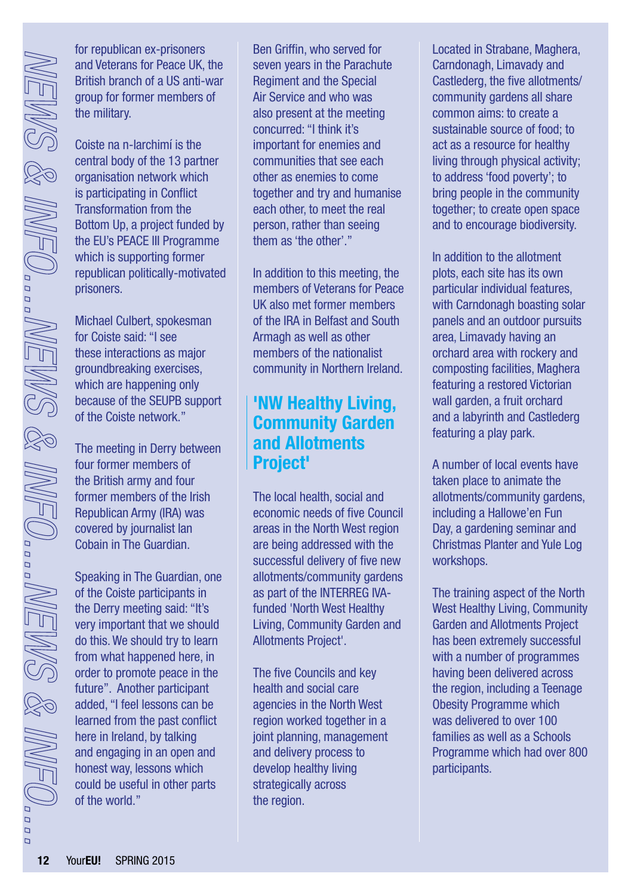for republican ex-prisoners and Veterans for Peace UK, the British branch of a US anti-war group for former members of the military.

Coiste na n-Iarchimí is the central body of the 13 partner organisation network which is participating in Conflict Transformation from the Bottom Up, a project funded by the EU's PEACE III Programme which is supporting former republican politically-motivated prisoners.

Michael Culbert, spokesman for Coiste said: "I see these interactions as major groundbreaking exercises, which are happening only because of the SEUPB support of the Coiste network."

The meeting in Derry between four former members of the British army and four former members of the Irish Republican Army (IRA) was covered by journalist Ian Cobain in The Guardian.

Speaking in The Guardian, one of the Coiste participants in the Derry meeting said: "It's very important that we should do this. We should try to learn from what happened here, in order to promote peace in the future". Another participant added, "I feel lessons can be learned from the past conflict here in Ireland, by talking and engaging in an open and honest way, lessons which could be useful in other parts of the world."

Ben Griffin, who served for seven years in the Parachute Regiment and the Special Air Service and who was also present at the meeting concurred: "I think it's important for enemies and communities that see each other as enemies to come together and try and humanise each other, to meet the real person, rather than seeing them as 'the other'."

In addition to this meeting, the members of Veterans for Peace UK also met former members of the IRA in Belfast and South Armagh as well as other members of the nationalist community in Northern Ireland.

### **'NW Healthy Living, Community Garden and Allotments Project'**

The local health, social and economic needs of five Council areas in the North West region are being addressed with the successful delivery of five new allotments/community gardens as part of the INTERREG IVAfunded 'North West Healthy Living, Community Garden and Allotments Project'.

The five Councils and key health and social care agencies in the North West region worked together in a joint planning, management and delivery process to develop healthy living strategically across the region.

Located in Strabane, Maghera, Carndonagh, Limavady and Castlederg, the five allotments/ community gardens all share common aims: to create a sustainable source of food; to act as a resource for healthy living through physical activity; to address 'food poverty'; to bring people in the community together; to create open space and to encourage biodiversity.

In addition to the allotment plots, each site has its own particular individual features, with Carndonagh boasting solar panels and an outdoor pursuits area, Limavady having an orchard area with rockery and composting facilities, Maghera featuring a restored Victorian wall garden, a fruit orchard and a labyrinth and Castlederg featuring a play park.

A number of local events have taken place to animate the allotments/community gardens, including a Hallowe'en Fun Day, a gardening seminar and Christmas Planter and Yule Log workshops.

The training aspect of the North West Healthy Living, Community Garden and Allotments Project has been extremely successful with a number of programmes having been delivered across the region, including a Teenage Obesity Programme which was delivered to over 100 families as well as a Schools Programme which had over 800 participants.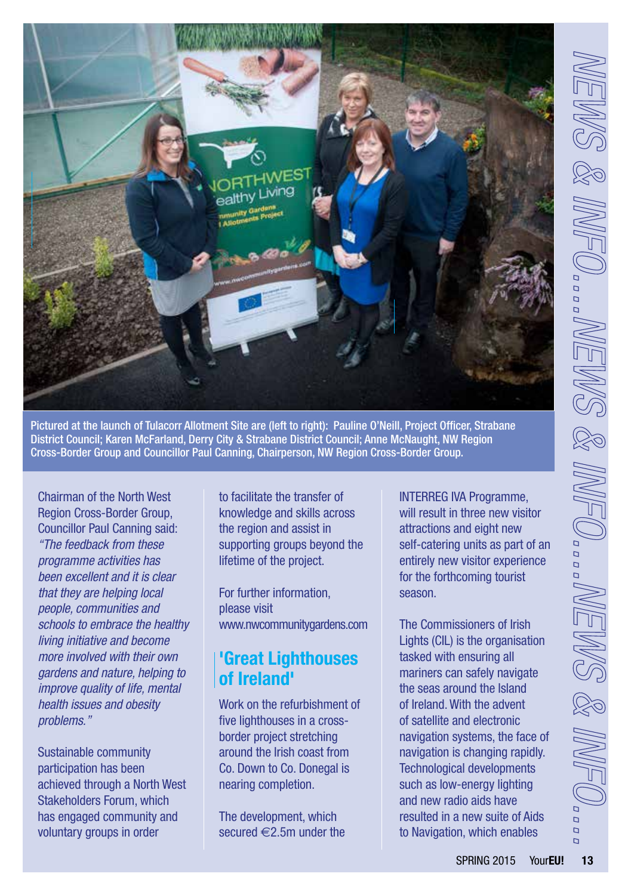

Pictured at the launch of Tulacorr Allotment Site are (left to right): Pauline O'Neill, Project Officer, Strabane District Council; Karen McFarland, Derry City & Strabane District Council; Anne McNaught, NW Region Cross-Border Group and Councillor Paul Canning, Chairperson, NW Region Cross-Border Group.

Chairman of the North West Region Cross-Border Group, Councillor Paul Canning said: *"The feedback from these programme activities has been excellent and it is clear that they are helping local people, communities and schools to embrace the healthy living initiative and become more involved with their own gardens and nature, helping to improve quality of life, mental health issues and obesity problems."*

Sustainable community participation has been achieved through a North West Stakeholders Forum, which has engaged community and voluntary groups in order

to facilitate the transfer of knowledge and skills across the region and assist in supporting groups beyond the lifetime of the project.

For further information, please visit [www.nwcommunitygardens.com](http://www.nwcommunitygardens.com)

### **'Great Lighthouses of Ireland'**

Work on the refurbishment of five lighthouses in a crossborder project stretching around the Irish coast from Co. Down to Co. Donegal is nearing completion.

The development, which secured  $\in$  2.5m under the INTERREG IVA Programme, will result in three new visitor attractions and eight new self-catering units as part of an entirely new visitor experience for the forthcoming tourist season.

The Commissioners of Irish Lights (CIL) is the organisation tasked with ensuring all mariners can safely navigate the seas around the Island of Ireland. With the advent of satellite and electronic navigation systems, the face of navigation is changing rapidly. Technological developments such as low-energy lighting and new radio aids have resulted in a new suite of Aids to Navigation, which enables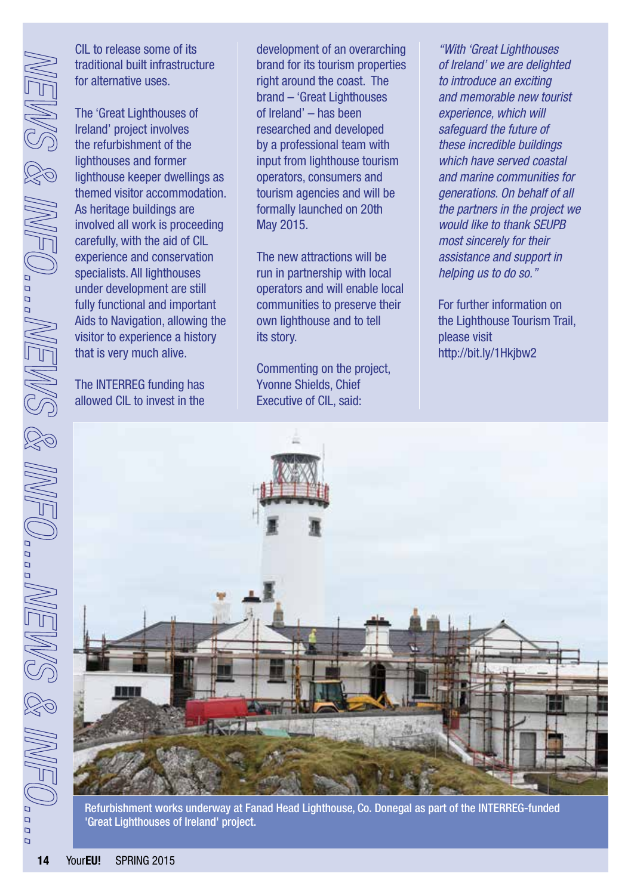CIL to release some of its traditional built infrastructure for alternative uses.

The 'Great Lighthouses of Ireland' project involves the refurbishment of the lighthouses and former lighthouse keeper dwellings as themed visitor accommodation. As heritage buildings are involved all work is proceeding carefully, with the aid of CIL experience and conservation specialists. All lighthouses under development are still fully functional and important Aids to Navigation, allowing the visitor to experience a history that is very much alive.

The INTERREG funding has allowed CIL to invest in the development of an overarching brand for its tourism properties right around the coast. The brand – 'Great Lighthouses of Ireland' – has been researched and developed by a professional team with input from lighthouse tourism operators, consumers and tourism agencies and will be formally launched on 20th May 2015.

The new attractions will be run in partnership with local operators and will enable local communities to preserve their own lighthouse and to tell its story.

Commenting on the project, Yvonne Shields, Chief Executive of CIL, said:

*"With 'Great Lighthouses of Ireland' we are delighted to introduce an exciting and memorable new tourist experience, which will safeguard the future of these incredible buildings which have served coastal and marine communities for generations. On behalf of all the partners in the project we would like to thank SEUPB most sincerely for their assistance and support in helping us to do so."*

For further information on the Lighthouse Tourism Trail, please visit http://bit.ly/1Hkjbw2



Refurbishment works underway at Fanad Head Lighthouse, Co. Donegal as part of the INTERREG-funded 'Great Lighthouses of Ireland' project.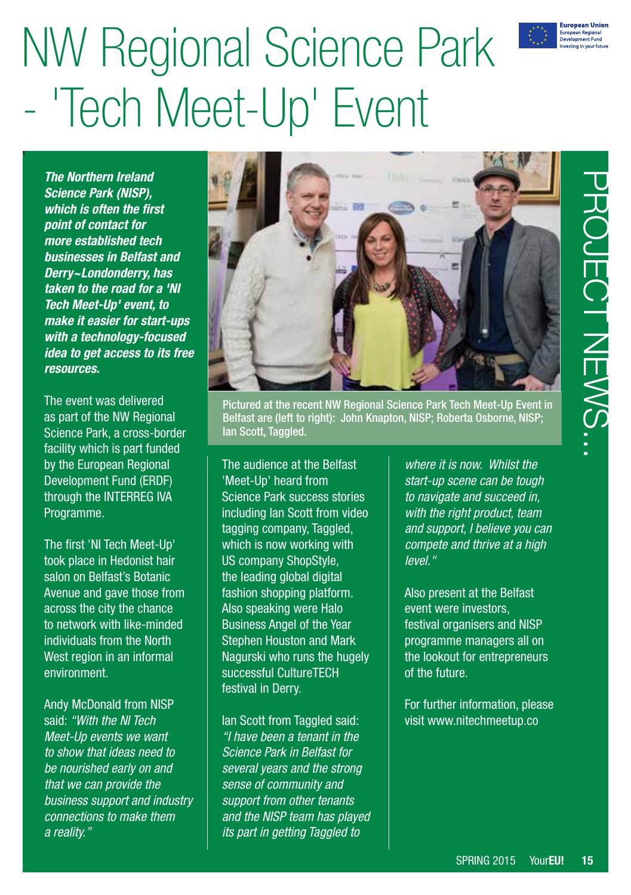

PROJECT NEWS...

**DUECT NEWS..** 

し<br>C

# NW Regional Science Park - 'Tech Meet-Up' Event

*The Northern Ireland Science Park (NISP), which is often the first point of contact for more established tech businesses in Belfast and Derry~Londonderry, has taken to the road for a 'NI Tech Meet-Up' event, to make it easier for start-ups with a technology-focused idea to get access to its free resources.* 

The event was delivered as part of the NW Regional Science Park, a cross-border facility which is part funded by the European Regional Development Fund (ERDF) through the INTERREG IVA Programme.

The first 'NI Tech Meet-Up' took place in Hedonist hair salon on Belfast's Botanic Avenue and gave those from across the city the chance to network with like-minded individuals from the North West region in an informal environment.

Andy McDonald from NISP said: *"With the NI Tech Meet-Up events we want to show that ideas need to be nourished early on and that we can provide the business support and industry connections to make them a reality."*



Pictured at the recent NW Regional Science Park Tech Meet-Up Event in Belfast are (left to right): John Knapton, NISP; Roberta Osborne, NISP; Ian Scott, Taggled.

The audience at the Belfast 'Meet-Up' heard from Science Park success stories including Ian Scott from video tagging company, Taggled, which is now working with US company ShopStyle, the leading global digital fashion shopping platform. Also speaking were Halo Business Angel of the Year Stephen Houston and Mark Nagurski who runs the hugely successful CultureTECH festival in Derry.

Ian Scott from Taggled said: *"I have been a tenant in the Science Park in Belfast for several years and the strong sense of community and support from other tenants and the NISP team has played its part in getting Taggled to* 

*where it is now. Whilst the start-up scene can be tough to navigate and succeed in, with the right product, team and support, I believe you can compete and thrive at a high level."*

Also present at the Belfast event were investors, festival organisers and NISP programme managers all on the lookout for entrepreneurs of the future.

For further information, please visit [www.nitechmeetup.co](http://www.nitechmeetup.co)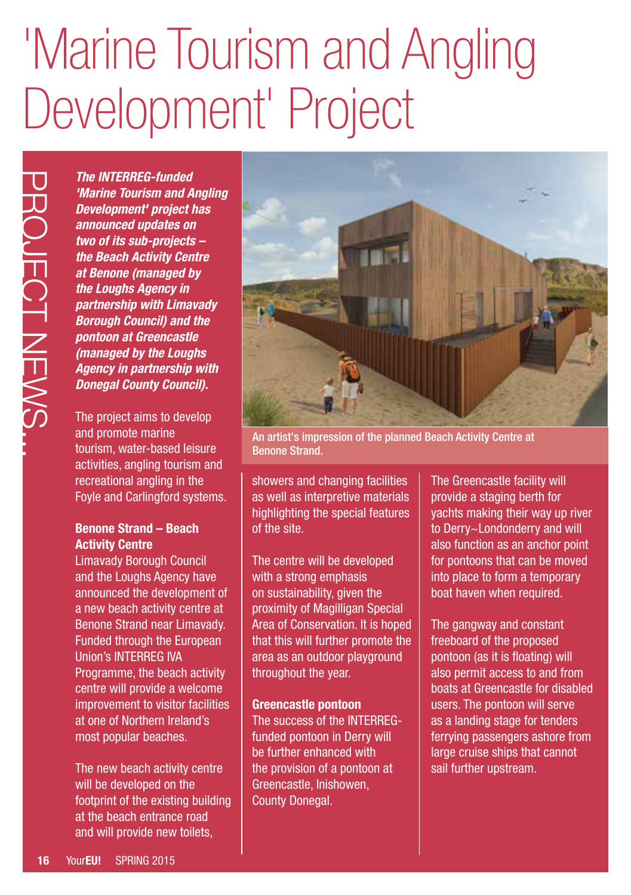# 'Marine Tourism and Angling Development' Project

The INTERREG-function and Development<sup>1</sup> projectoment in Development in Development in the substanting the Beach Activity at Benone (manage the Loughs Agency partnership with Life Development Continue of the Loughs Agency *The INTERREG-funded 'Marine Tourism and Angling Development' project has announced updates on two of its sub-projects – the Beach Activity Centre at Benone (managed by the Loughs Agency in partnership with Limavady Borough Council) and the pontoon at Greencastle (managed by the Loughs Agency in partnership with Donegal County Council).*

The project aims to develop and promote marine tourism, water-based leisure activities, angling tourism and recreational angling in the Foyle and Carlingford systems.

### **Benone Strand – Beach Activity Centre**

Limavady Borough Council and the Loughs Agency have announced the development of a new beach activity centre at Benone Strand near Limavady. Funded through the European Union's INTERREG IVA Programme, the beach activity centre will provide a welcome improvement to visitor facilities at one of Northern Ireland's most popular beaches.

The new beach activity centre will be developed on the footprint of the existing building at the beach entrance road and will provide new toilets,



An artist's impression of the planned Beach Activity Centre at Benone Strand.

showers and changing facilities as well as interpretive materials highlighting the special features of the site.

The centre will be developed with a strong emphasis on sustainability, given the proximity of Magilligan Special Area of Conservation. It is hoped that this will further promote the area as an outdoor playground throughout the year.

### **Greencastle pontoon**

The success of the INTERREGfunded pontoon in Derry will be further enhanced with the provision of a pontoon at Greencastle, Inishowen, County Donegal.

The Greencastle facility will provide a staging berth for yachts making their way up river to Derry~Londonderry and will also function as an anchor point for pontoons that can be moved into place to form a temporary boat haven when required.

The gangway and constant freeboard of the proposed pontoon (as it is floating) will also permit access to and from boats at Greencastle for disabled users. The pontoon will serve as a landing stage for tenders ferrying passengers ashore from large cruise ships that cannot sail further upstream.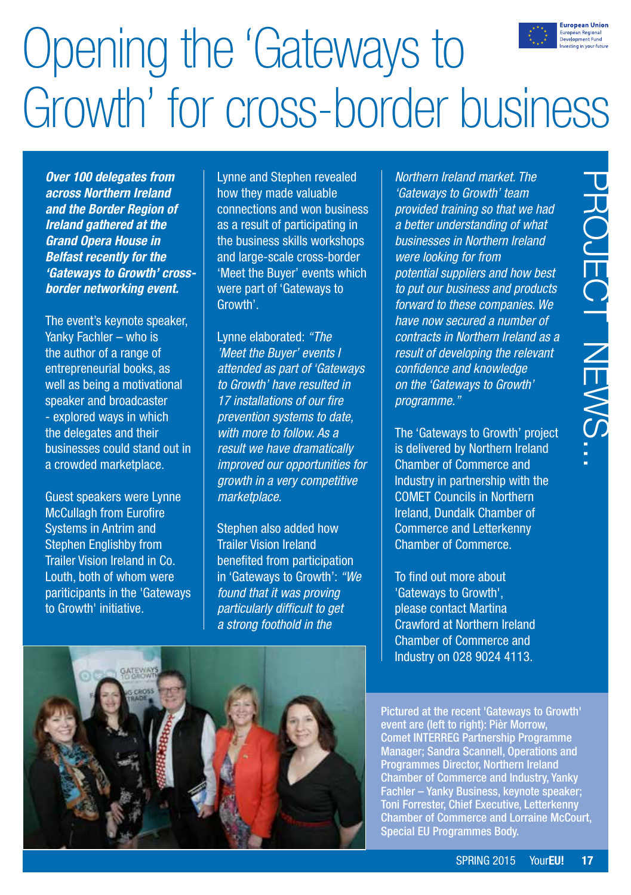

## Opening the 'Gateways to Growth' for cross-border business

*Over 100 delegates from across Northern Ireland and the Border Region of Ireland gathered at the Grand Opera House in Belfast recently for the 'Gateways to Growth' crossborder networking event.*

The event's keynote speaker, Yanky Fachler – who is the author of a range of entrepreneurial books, as well as being a motivational speaker and broadcaster - explored ways in which the delegates and their businesses could stand out in a crowded marketplace.

Guest speakers were Lynne McCullagh from Eurofire Systems in Antrim and Stephen Englishby from Trailer Vision Ireland in Co. Louth, both of whom were pariticipants in the 'Gateways to Growth' initiative.

Lynne and Stephen revealed how they made valuable connections and won business as a result of participating in the business skills workshops and large-scale cross-border 'Meet the Buyer' events which were part of 'Gateways to Growth'.

Lynne elaborated: *"The 'Meet the Buyer' events I attended as part of 'Gateways to Growth' have resulted in 17 installations of our fire prevention systems to date, with more to follow. As a result we have dramatically improved our opportunities for growth in a very competitive marketplace.*

Stephen also added how Trailer Vision Ireland benefited from participation in 'Gateways to Growth': *"We found that it was proving particularly difficult to get a strong foothold in the* 

land market. The<br>
o Growth' team<br>
ining so that we had<br>
in Northern Ireland<br>
or from<br>
for from<br>
ppliers and how best<br>
siness and products<br>
siness and products<br>
siness and products<br>
Northern Ireland as a<br>
ecloping the relev *Northern Ireland market. The 'Gateways to Growth' team provided training so that we had a better understanding of what businesses in Northern Ireland were looking for from potential suppliers and how best to put our business and products forward to these companies. We have now secured a number of contracts in Northern Ireland as a result of developing the relevant confidence and knowledge on the 'Gateways to Growth' programme."* 

The 'Gateways to Growth' project is delivered by Northern Ireland Chamber of Commerce and Industry in partnership with the COMET Councils in Northern Ireland, Dundalk Chamber of Commerce and Letterkenny Chamber of Commerce.

To find out more about 'Gateways to Growth', please contact Martina Crawford at Northern Ireland Chamber of Commerce and Industry on 028 9024 4113.



Pictured at the recent 'Gateways to Growth' event are (left to right): Pièr Morrow, Comet INTERREG Partnership Programme Manager; Sandra Scannell, Operations and Programmes Director, Northern Ireland Chamber of Commerce and Industry, Yanky Fachler – Yanky Business, keynote speaker; Toni Forrester, Chief Executive, Letterkenny Chamber of Commerce and Lorraine McCourt, Special EU Programmes Body.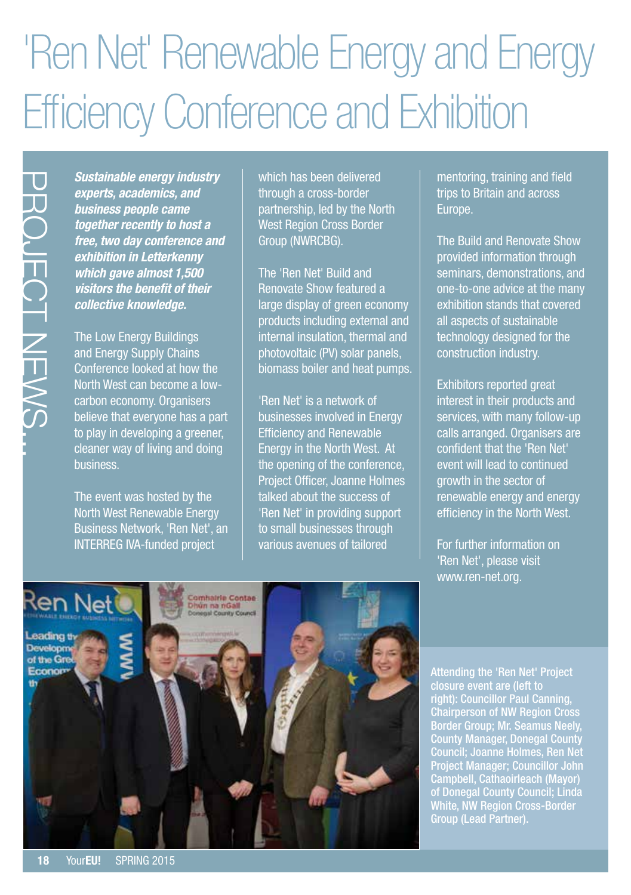### 'Ren Net' Renewable Energy and Energy Efficiency Conference and Exhibition

*Sustainable energy industry experts, academics, and business people came together recently to host a free, two day conference and exhibition in Letterkenny which gave almost 1,500 visitors the benefit of their collective knowledge.*

The Low Energy Buildings and Energy Supply Chains Conference looked at how the North West can become a lowcarbon economy. Organisers believe that everyone has a part to play in developing a greener, cleaner way of living and doing business.

The event was hosted by the North West Renewable Energy Business Network, 'Ren Net', an INTERREG IVA-funded project

which has been delivered through a cross-border partnership, led by the North West Region Cross Border Group (NWRCBG).

The 'Ren Net' Build and Renovate Show featured a large display of green economy products including external and internal insulation, thermal and photovoltaic (PV) solar panels, biomass boiler and heat pumps.

'Ren Net' is a network of businesses involved in Energy Efficiency and Renewable Energy in the North West. At the opening of the conference, Project Officer, Joanne Holmes talked about the success of 'Ren Net' in providing support to small businesses through various avenues of tailored

mentoring, training and field trips to Britain and across Europe.

The Build and Renovate Show provided information through seminars, demonstrations, and one-to-one advice at the many exhibition stands that covered all aspects of sustainable technology designed for the construction industry.

Exhibitors reported great interest in their products and services, with many follow-up calls arranged. Organisers are confident that the 'Ren Net' event will lead to continued growth in the sector of renewable energy and energy efficiency in the North West.

For further information on 'Ren Net', please visit [www.ren-net.org](http://www.ren-net.org).



Attending the 'Ren Net' Project closure event are (left to right): Councillor Paul Canning, Chairperson of NW Region Cross Border Group; Mr. Seamus Neely, County Manager, Donegal County Council; Joanne Holmes, Ren Net Project Manager; Councillor John Campbell, Cathaoirleach (Mayor) of Donegal County Council; Linda White, NW Region Cross-Border Group (Lead Partner).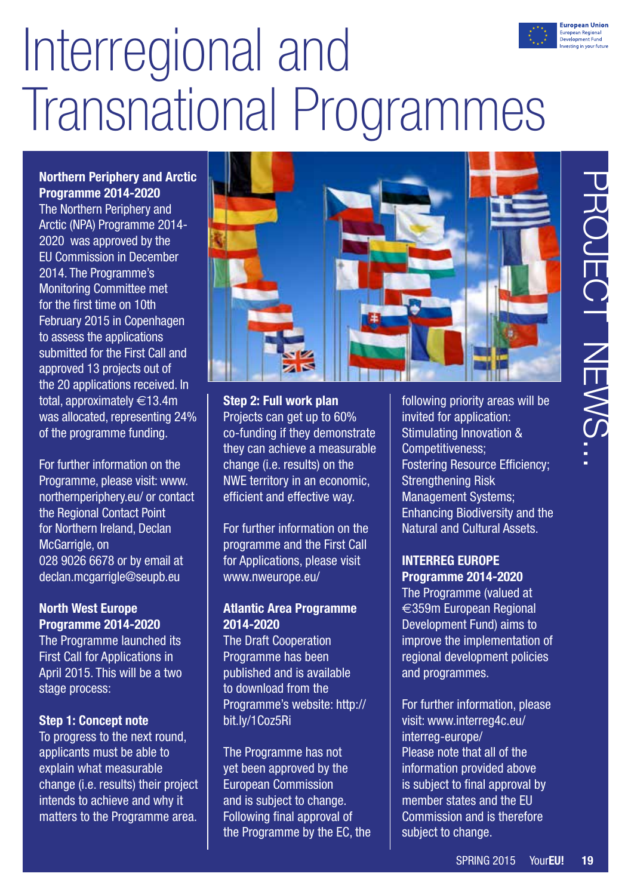# Interregional and Transnational Programmes

### **Northern Periphery and Arctic Programme 2014-2020**

The Northern Periphery and Arctic (NPA) Programme 2014- 2020 was approved by the EU Commission in December 2014. The Programme's Monitoring Committee met for the first time on 10th February 2015 in Copenhagen to assess the applications submitted for the First Call and approved 13 projects out of the 20 applications received. In total, approximately €13.4m was allocated, representing 24% of the programme funding.

For further information on the Programme, please visit: [www.](http://www.northernperiphery.eu/) [northernperiphery.eu/](http://www.northernperiphery.eu/) or contact the Regional Contact Point for Northern Ireland, Declan McGarrigle, on 028 9026 6678 or by email at [declan.mcgarrigle@seupb.eu](mailto:declan.mcgarrigle%40seupb.eu?subject=declan.mcgarrigle%40seupb.eu)

### **North West Europe Programme 2014-2020**

The Programme launched its First Call for Applications in April 2015. This will be a two stage process:

### **Step 1: Concept note**

To progress to the next round, applicants must be able to explain what measurable change (i.e. results) their project intends to achieve and why it matters to the Programme area.



**Step 2: Full work plan** Projects can get up to 60% co-funding if they demonstrate they can achieve a measurable change (i.e. results) on the NWE territory in an economic, efficient and effective way.

For further information on the programme and the First Call for Applications, please visit [www.nweurope.eu/](http://www.nweurope.eu/) 

### **Atlantic Area Programme 2014-2020**

The Draft Cooperation Programme has been published and is available to download from the Programme's website: http:// bit.ly/1Coz5Ri

The Programme has not yet been approved by the European Commission and is subject to change. Following final approval of the Programme by the EC, the following priority areas will be invited for application: Stimulating Innovation & Competitiveness; Fostering Resource Efficiency; Strengthening Risk Management Systems; Enhancing Biodiversity and the Natural and Cultural Assets.

### **INTERREG EUROPE Programme 2014-2020**

The Programme (valued at  $\epsilon$ 359m European Regional Development Fund) aims to improve the implementation of regional development policies and programmes.

For further information, please visit: [www.interreg4c.eu/](http://www.interreg4c.eu/interreg-europe/) [interreg-europe/](http://www.interreg4c.eu/interreg-europe/) Please note that all of the information provided above is subject to final approval by member states and the EU Commission and is therefore subject to change.

**European Unior** uropean Regional<br>Jevelopment Fund